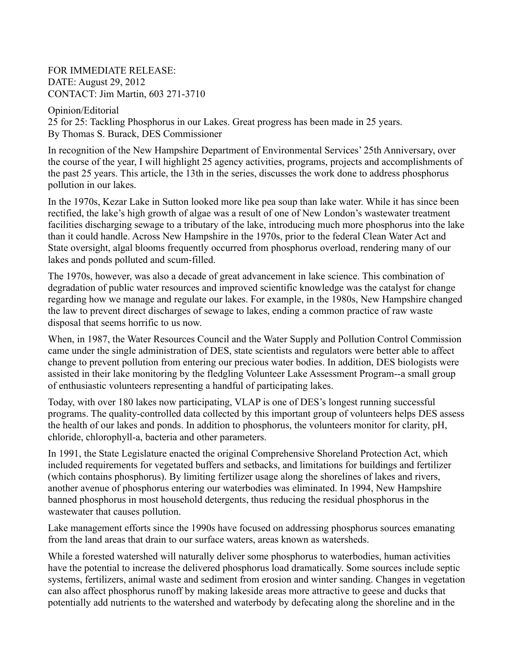FOR IMMEDIATE RELEASE: DATE: August 29, 2012 CONTACT: Jim Martin, 603 271-3710

Opinion/Editorial 25 for 25: Tackling Phosphorus in our Lakes. Great progress has been made in 25 years. By Thomas S. Burack, DES Commissioner

In recognition of the New Hampshire Department of Environmental Services' 25th Anniversary, over the course of the year, I will highlight 25 agency activities, programs, projects and accomplishments of the past 25 years. This article, the 13th in the series, discusses the work done to address phosphorus pollution in our lakes.

In the 1970s, Kezar Lake in Sutton looked more like pea soup than lake water. While it has since been rectified, the lake's high growth of algae was a result of one of New London's wastewater treatment facilities discharging sewage to a tributary of the lake, introducing much more phosphorus into the lake than it could handle. Across New Hampshire in the 1970s, prior to the federal Clean Water Act and State oversight, algal blooms frequently occurred from phosphorus overload, rendering many of our lakes and ponds polluted and scum-filled.

The 1970s, however, was also a decade of great advancement in lake science. This combination of degradation of public water resources and improved scientific knowledge was the catalyst for change regarding how we manage and regulate our lakes. For example, in the 1980s, New Hampshire changed the law to prevent direct discharges of sewage to lakes, ending a common practice of raw waste disposal that seems horrific to us now.

When, in 1987, the Water Resources Council and the Water Supply and Pollution Control Commission came under the single administration of DES, state scientists and regulators were better able to affect change to prevent pollution from entering our precious water bodies. In addition, DES biologists were assisted in their lake monitoring by the fledgling Volunteer Lake Assessment Program--a small group of enthusiastic volunteers representing a handful of participating lakes.

Today, with over 180 lakes now participating, VLAP is one of DES's longest running successful programs. The quality-controlled data collected by this important group of volunteers helps DES assess the health of our lakes and ponds. In addition to phosphorus, the volunteers monitor for clarity, pH, chloride, chlorophyll-a, bacteria and other parameters.

In 1991, the State Legislature enacted the original Comprehensive Shoreland Protection Act, which included requirements for vegetated buffers and setbacks, and limitations for buildings and fertilizer (which contains phosphorus). By limiting fertilizer usage along the shorelines of lakes and rivers, another avenue of phosphorus entering our waterbodies was eliminated. In 1994, New Hampshire banned phosphorus in most household detergents, thus reducing the residual phosphorus in the wastewater that causes pollution.

Lake management efforts since the 1990s have focused on addressing phosphorus sources emanating from the land areas that drain to our surface waters, areas known as watersheds.

While a forested watershed will naturally deliver some phosphorus to waterbodies, human activities have the potential to increase the delivered phosphorus load dramatically. Some sources include septic systems, fertilizers, animal waste and sediment from erosion and winter sanding. Changes in vegetation can also affect phosphorus runoff by making lakeside areas more attractive to geese and ducks that potentially add nutrients to the watershed and waterbody by defecating along the shoreline and in the